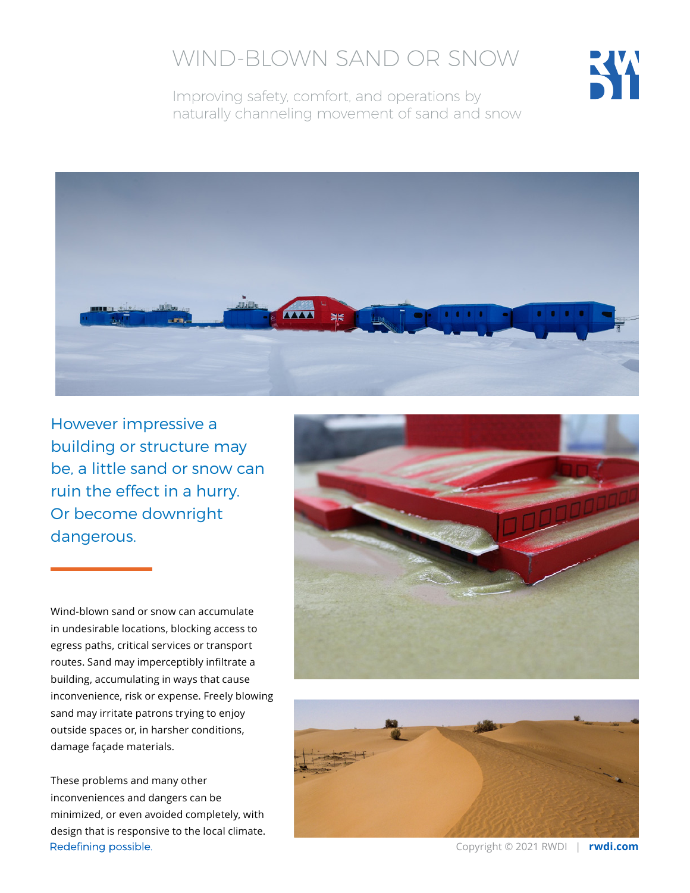# WIND-BLOWN SAND OR SNOW



Improving safety, comfort, and operations by naturally channeling movement of sand and snow



However impressive a building or structure may be, a little sand or snow can ruin the effect in a hurry. Or become downright dangerous.

Wind-blown sand or snow can accumulate in undesirable locations, blocking access to egress paths, critical services or transport routes. Sand may imperceptibly infiltrate a building, accumulating in ways that cause inconvenience, risk or expense. Freely blowing sand may irritate patrons trying to enjoy outside spaces or, in harsher conditions, damage façade materials.

These problems and many other inconveniences and dangers can be minimized, or even avoided completely, with design that is responsive to the local climate.Redefining possible.





Copyright © 2021 RWDI | **rwdi.com**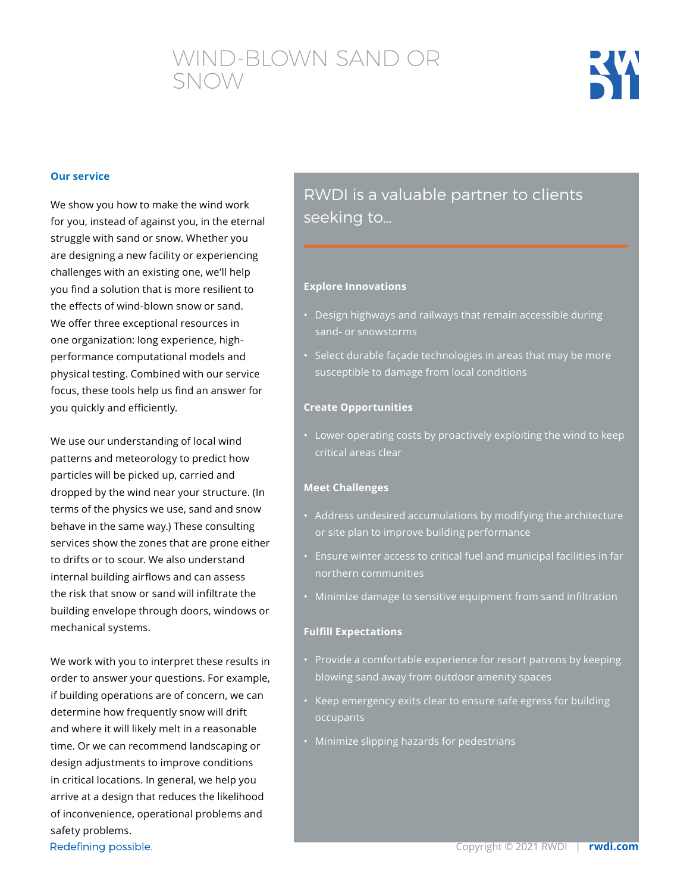## WIND-BLOWN SAND OR SNOW



#### **Our service**

We show you how to make the wind work for you, instead of against you, in the eternal struggle with sand or snow. Whether you are designing a new facility or experiencing challenges with an existing one, we'll help you find a solution that is more resilient to the effects of wind-blown snow or sand. We offer three exceptional resources in one organization: long experience, highperformance computational models and physical testing. Combined with our service focus, these tools help us find an answer for you quickly and efficiently.

We use our understanding of local wind patterns and meteorology to predict how particles will be picked up, carried and dropped by the wind near your structure. (In terms of the physics we use, sand and snow behave in the same way.) These consulting services show the zones that are prone either to drifts or to scour. We also understand internal building airflows and can assess the risk that snow or sand will infiltrate the building envelope through doors, windows or mechanical systems.

We work with you to interpret these results in order to answer your questions. For example, if building operations are of concern, we can determine how frequently snow will drift and where it will likely melt in a reasonable time. Or we can recommend landscaping or design adjustments to improve conditions in critical locations. In general, we help you arrive at a design that reduces the likelihood of inconvenience, operational problems and safety problems. Redefining possible.

### RWDI is a valuable partner to clients seeking to…

#### **Explore Innovations**

- Design highways and railways that remain accessible during sand- or snowstorms
- Select durable façade technologies in areas that may be more susceptible to damage from local conditions

#### **Create Opportunities**

• Lower operating costs by proactively exploiting the wind to keep critical areas clear

#### **Meet Challenges**

- Address undesired accumulations by modifying the architecture or site plan to improve building performance
- Ensure winter access to critical fuel and municipal facilities in far northern communities
- Minimize damage to sensitive equipment from sand infiltration

#### **Fulfill Expectations**

- Provide a comfortable experience for resort patrons by keeping blowing sand away from outdoor amenity spaces
- Keep emergency exits clear to ensure safe egress for building occupants
- Minimize slipping hazards for pedestrians